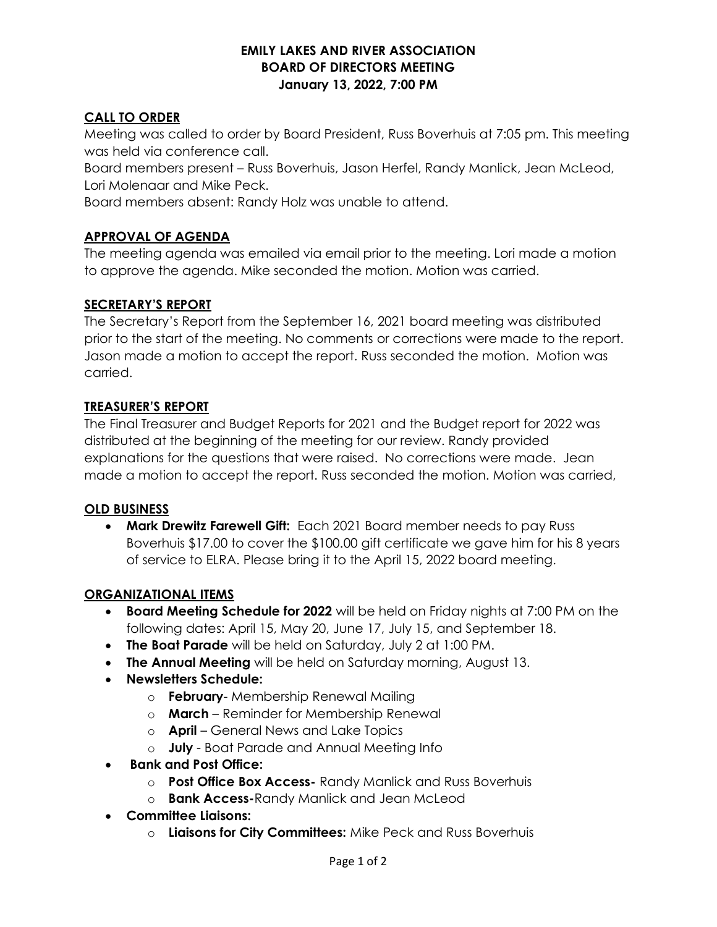#### EMILY LAKES AND RIVER ASSOCIATION BOARD OF DIRECTORS MEETING January 13, 2022, 7:00 PM

### CALL TO ORDER

Meeting was called to order by Board President, Russ Boverhuis at 7:05 pm. This meeting was held via conference call.

Board members present – Russ Boverhuis, Jason Herfel, Randy Manlick, Jean McLeod, Lori Molenaar and Mike Peck.

Board members absent: Randy Holz was unable to attend.

# APPROVAL OF AGENDA

The meeting agenda was emailed via email prior to the meeting. Lori made a motion to approve the agenda. Mike seconded the motion. Motion was carried.

# SECRETARY'S REPORT

The Secretary's Report from the September 16, 2021 board meeting was distributed prior to the start of the meeting. No comments or corrections were made to the report. Jason made a motion to accept the report. Russ seconded the motion. Motion was carried.

#### TREASURER'S REPORT

The Final Treasurer and Budget Reports for 2021 and the Budget report for 2022 was distributed at the beginning of the meeting for our review. Randy provided explanations for the questions that were raised. No corrections were made. Jean made a motion to accept the report. Russ seconded the motion. Motion was carried,

#### OLD BUSINESS

• Mark Drewitz Farewell Gift: Each 2021 Board member needs to pay Russ Boverhuis \$17.00 to cover the \$100.00 gift certificate we gave him for his 8 years of service to ELRA. Please bring it to the April 15, 2022 board meeting.

#### ORGANIZATIONAL ITEMS

- **Board Meeting Schedule for 2022** will be held on Friday nights at 7:00 PM on the following dates: April 15, May 20, June 17, July 15, and September 18.
- The Boat Parade will be held on Saturday, July 2 at 1:00 PM.
- The Annual Meeting will be held on Saturday morning, August 13.
- Newsletters Schedule:
	- o **February** Membership Renewal Mailing
	- $\circ$  **March** Reminder for Membership Renewal
	- o **April** General News and Lake Topics
	- o **July** Boat Parade and Annual Meeting Info
- Bank and Post Office:
	- o **Post Office Box Access-** Randy Manlick and Russ Boverhuis
	- o **Bank Access-Randy Manlick and Jean McLeod**
- Committee Liaisons:
	- o Liaisons for City Committees: Mike Peck and Russ Boverhuis